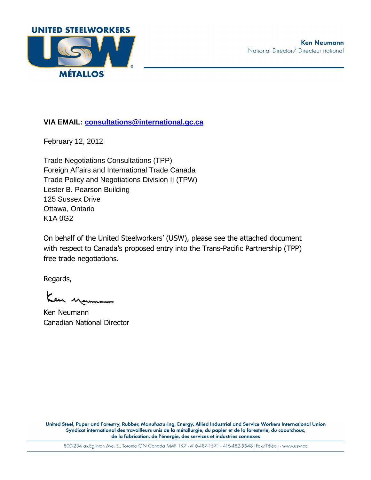

**VIA EMAIL: consultations@international.gc.ca** 

February 12, 2012

Trade Negotiations Consultations (TPP) Foreign Affairs and International Trade Canada Trade Policy and Negotiations Division II (TPW) Lester B. Pearson Building 125 Sussex Drive Ottawa, Ontario K1A 0G2

On behalf of the United Steelworkers' (USW), please see the attached document with respect to Canada's proposed entry into the Trans-Pacific Partnership (TPP) free trade negotiations.

Regards,

Ken yeuman

Ken Neumann Canadian National Director

United Steel, Paper and Forestry, Rubber, Manufacturing, Energy, Allied Industrial and Service Workers International Union Syndicat international des travailleurs unis de la métallurgie, du papier et de la foresterie, du caoutchouc, de la fabrication, de l'énergie, des services et industries connexes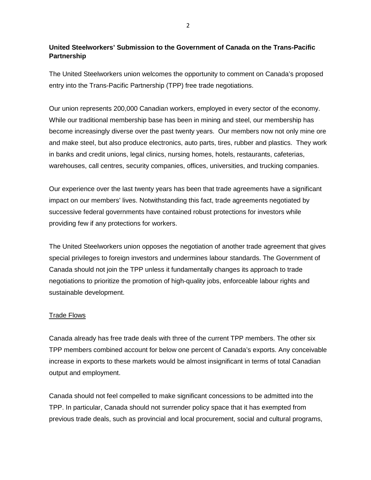# **United Steelworkers' Submission to the Government of Canada on the Trans-Pacific Partnership**

The United Steelworkers union welcomes the opportunity to comment on Canada's proposed entry into the Trans-Pacific Partnership (TPP) free trade negotiations.

Our union represents 200,000 Canadian workers, employed in every sector of the economy. While our traditional membership base has been in mining and steel, our membership has become increasingly diverse over the past twenty years. Our members now not only mine ore and make steel, but also produce electronics, auto parts, tires, rubber and plastics. They work in banks and credit unions, legal clinics, nursing homes, hotels, restaurants, cafeterias, warehouses, call centres, security companies, offices, universities, and trucking companies.

Our experience over the last twenty years has been that trade agreements have a significant impact on our members' lives. Notwithstanding this fact, trade agreements negotiated by successive federal governments have contained robust protections for investors while providing few if any protections for workers.

The United Steelworkers union opposes the negotiation of another trade agreement that gives special privileges to foreign investors and undermines labour standards. The Government of Canada should not join the TPP unless it fundamentally changes its approach to trade negotiations to prioritize the promotion of high-quality jobs, enforceable labour rights and sustainable development.

### Trade Flows

Canada already has free trade deals with three of the current TPP members. The other six TPP members combined account for below one percent of Canada's exports. Any conceivable increase in exports to these markets would be almost insignificant in terms of total Canadian output and employment.

Canada should not feel compelled to make significant concessions to be admitted into the TPP. In particular, Canada should not surrender policy space that it has exempted from previous trade deals, such as provincial and local procurement, social and cultural programs,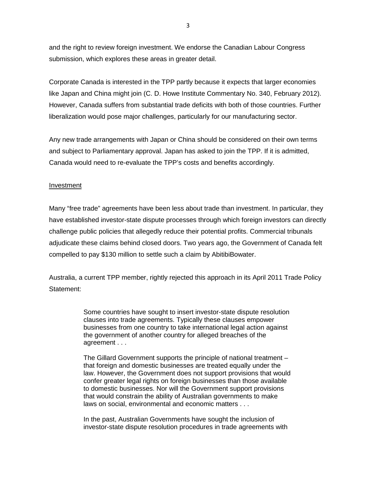and the right to review foreign investment. We endorse the Canadian Labour Congress submission, which explores these areas in greater detail.

Corporate Canada is interested in the TPP partly because it expects that larger economies like Japan and China might join (C. D. Howe Institute Commentary No. 340, February 2012). However, Canada suffers from substantial trade deficits with both of those countries. Further liberalization would pose major challenges, particularly for our manufacturing sector.

Any new trade arrangements with Japan or China should be considered on their own terms and subject to Parliamentary approval. Japan has asked to join the TPP. If it is admitted, Canada would need to re-evaluate the TPP's costs and benefits accordingly.

### Investment

Many "free trade" agreements have been less about trade than investment. In particular, they have established investor-state dispute processes through which foreign investors can directly challenge public policies that allegedly reduce their potential profits. Commercial tribunals adjudicate these claims behind closed doors. Two years ago, the Government of Canada felt compelled to pay \$130 million to settle such a claim by AbitibiBowater.

Australia, a current TPP member, rightly rejected this approach in its April 2011 Trade Policy Statement:

> Some countries have sought to insert investor-state dispute resolution clauses into trade agreements. Typically these clauses empower businesses from one country to take international legal action against the government of another country for alleged breaches of the agreement . . .

> The Gillard Government supports the principle of national treatment – that foreign and domestic businesses are treated equally under the law. However, the Government does not support provisions that would confer greater legal rights on foreign businesses than those available to domestic businesses. Nor will the Government support provisions that would constrain the ability of Australian governments to make laws on social, environmental and economic matters . . .

In the past, Australian Governments have sought the inclusion of investor-state dispute resolution procedures in trade agreements with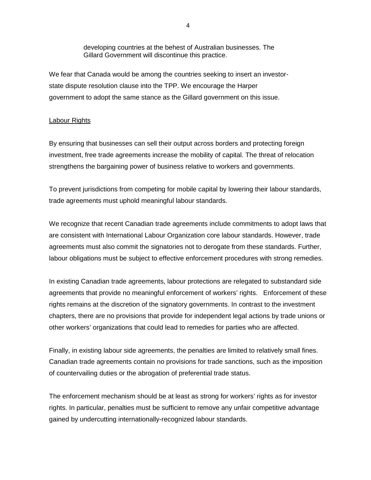developing countries at the behest of Australian businesses. The Gillard Government will discontinue this practice.

We fear that Canada would be among the countries seeking to insert an investorstate dispute resolution clause into the TPP. We encourage the Harper government to adopt the same stance as the Gillard government on this issue.

### Labour Rights

By ensuring that businesses can sell their output across borders and protecting foreign investment, free trade agreements increase the mobility of capital. The threat of relocation strengthens the bargaining power of business relative to workers and governments.

To prevent jurisdictions from competing for mobile capital by lowering their labour standards, trade agreements must uphold meaningful labour standards.

We recognize that recent Canadian trade agreements include commitments to adopt laws that are consistent with International Labour Organization core labour standards. However, trade agreements must also commit the signatories not to derogate from these standards. Further, labour obligations must be subject to effective enforcement procedures with strong remedies.

In existing Canadian trade agreements, labour protections are relegated to substandard side agreements that provide no meaningful enforcement of workers' rights. Enforcement of these rights remains at the discretion of the signatory governments. In contrast to the investment chapters, there are no provisions that provide for independent legal actions by trade unions or other workers' organizations that could lead to remedies for parties who are affected.

Finally, in existing labour side agreements, the penalties are limited to relatively small fines. Canadian trade agreements contain no provisions for trade sanctions, such as the imposition of countervailing duties or the abrogation of preferential trade status.

The enforcement mechanism should be at least as strong for workers' rights as for investor rights. In particular, penalties must be sufficient to remove any unfair competitive advantage gained by undercutting internationally-recognized labour standards.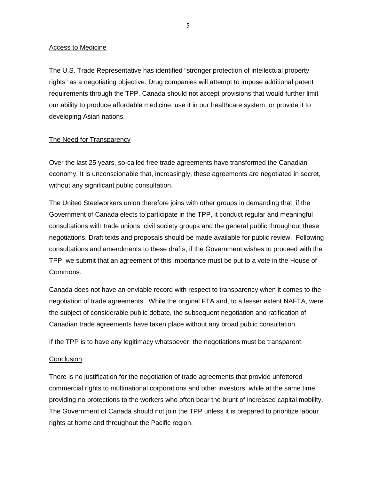#### Access to Medicine

The U.S. Trade Representative has identified "stronger protection of intellectual property rights" as a negotiating objective. Drug companies will attempt to impose additional patent requirements through the TPP. Canada should not accept provisions that would further limit our ability to produce affordable medicine, use it in our healthcare system, or provide it to developing Asian nations.

## The Need for Transparency

Over the last 25 years, so-called free trade agreements have transformed the Canadian economy. It is unconscionable that, increasingly, these agreements are negotiated in secret, without any significant public consultation.

The United Steelworkers union therefore joins with other groups in demanding that, if the Government of Canada elects to participate in the TPP, it conduct regular and meaningful consultations with trade unions, civil society groups and the general public throughout these negotiations. Draft texts and proposals should be made available for public review. Following consultations and amendments to these drafts, if the Government wishes to proceed with the TPP, we submit that an agreement of this importance must be put to a vote in the House of Commons.

Canada does not have an enviable record with respect to transparency when it comes to the negotiation of trade agreements. While the original FTA and, to a lesser extent NAFTA, were the subject of considerable public debate, the subsequent negotiation and ratification of Canadian trade agreements have taken place without any broad public consultation.

If the TPP is to have any legitimacy whatsoever, the negotiations must be transparent.

### **Conclusion**

There is no justification for the negotiation of trade agreements that provide unfettered commercial rights to multinational corporations and other investors, while at the same time providing no protections to the workers who often bear the brunt of increased capital mobility. The Government of Canada should not join the TPP unless it is prepared to prioritize labour rights at home and throughout the Pacific region.